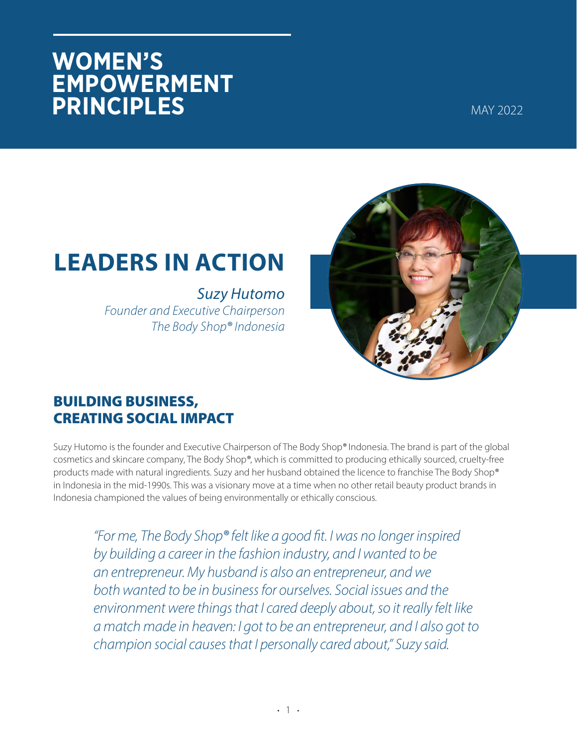## **WOMEN'S EMPOWERMENT PRINCIPLES**

MAY 2022

# **LEADERS IN ACTION**

*Suzy Hutomo Founder and Executive Chairperson The Body Shop®* Indonesia



### **BUILDING BUSINESS, CREATING SOCIAL IMPACT**

Suzy Hutomo is the founder and Executive Chairperson of The Body Shop® Indonesia. The brand is part of the global cosmetics and skincare company, The Body Shop®, which is committed to producing ethically sourced, cruelty-free products made with natural ingredients. Suzy and her husband obtained the licence to franchise The Body Shop® in Indonesia in the mid-1990s. This was a visionary move at a time when no other retail beauty product brands in Indonesia championed the values of being environmentally or ethically conscious.

"For me, The Body Shop® felt like a good fit. I was no longer inspired by building a career in the fashion industry, and I wanted to be an entrepreneur. My husband is also an entrepreneur, and we both wanted to be in business for ourselves. Social issues and the *environment were things that I cared deeply about, so it really felt like a match made in heaven: I got to be an entrepreneur, and I also got to champion social causes that I personally cared about," Suzy said.*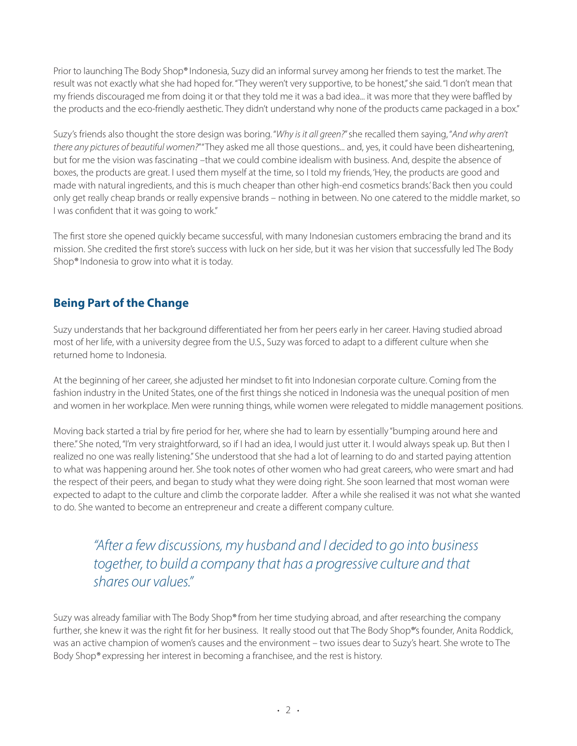Prior to launching The Body Shop® Indonesia, Suzy did an informal survey among her friends to test the market. The result was not exactly what she had hoped for. "They weren't very supportive, to be honest," she said. "I don't mean that my friends discouraged me from doing it or that they told me it was a bad idea... it was more that they were baffled by the products and the eco-friendly aesthetic. They didn't understand why none of the products came packaged in a box."

Suzy's friends also thought the store design was boring. "Why is it all green?" she recalled them saying, "And why aren't there any pictures of beautiful women?""They asked me all those questions... and, yes, it could have been disheartening, but for me the vision was fascinating -that we could combine idealism with business. And, despite the absence of boxes, the products are great. I used them myself at the time, so I told my friends, 'Hey, the products are good and made with natural ingredients, and this is much cheaper than other high-end cosmetics brands. Back then you could only get really cheap brands or really expensive brands – nothing in between. No one catered to the middle market, so I was confident that it was going to work."

The first store she opened quickly became successful, with many Indonesian customers embracing the brand and its mission. She credited the first store's success with luck on her side, but it was her vision that successfully led The Body Shop<sup>®</sup> Indonesia to grow into what it is today.

#### **Being Part of the Change**

Suzy understands that her background differentiated her from her peers early in her career. Having studied abroad most of her life, with a university degree from the U.S., Suzy was forced to adapt to a different culture when she returned home to Indonesia.

At the beginning of her career, she adjusted her mindset to fit into Indonesian corporate culture. Coming from the fashion industry in the United States, one of the first things she noticed in Indonesia was the unequal position of men and women in her workplace. Men were running things, while women were relegated to middle management positions.

Moving back started a trial by fire period for her, where she had to learn by essentially "bumping around here and there." She noted, "I'm very straightforward, so if I had an idea, I would just utter it. I would always speak up. But then I realized no one was really listening." She understood that she had a lot of learning to do and started paying attention to what was happening around her. She took notes of other women who had great careers, who were smart and had the respect of their peers, and began to study what they were doing right. She soon learned that most woman were expected to adapt to the culture and climb the corporate ladder. After a while she realised it was not what she wanted to do. She wanted to become an entrepreneur and create a different company culture.

"After a few discussions, my husband and I decided to go into business to ge ther, to build a company that has a progressive culture and that shares our values"

Suzy was already familiar with The Body Shop® from her time studying abroad, and after researching the company further, she knew it was the right fit for her business. It really stood out that The Body Shop®'s founder, Anita Roddick, was an active champion of women's causes and the environment – two issues dear to Suzy's heart. She wrote to The Body Shop<sup>®</sup> expressing her interest in becoming a franchisee, and the rest is history.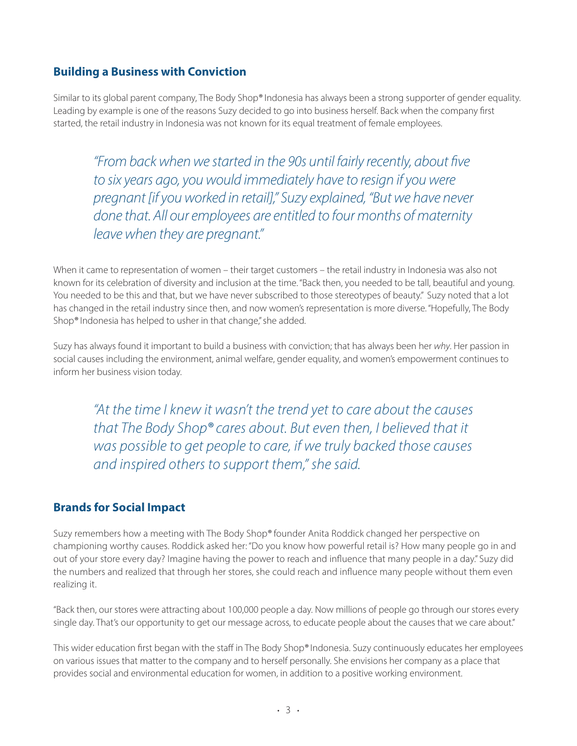#### **Building a Business with Conviction**

Similar to its global parent company, The Body Shop® Indonesia has always been a strong supporter of gender equality. Leading by example is one of the reasons Suzy decided to go into business herself. Back when the company first started, the retail industry in Indonesia was not known for its equal treatment of female employees.

"From back when we started in the 90s until fairly recently, about five to six years ago, you would immediately have to resign if you were *pregnant [if you worked in retail]," Suzy explained, "But we have never* done that. All our employees are entitled to four months of maternity *leave when they are pregnant."* 

When it came to representation of women – their target customers – the retail industry in Indonesia was also not known for its celebration of diversity and inclusion at the time. "Back then, you needed to be tall, beautiful and young. You needed to be this and that, but we have never subscribed to those stereotypes of beauty." Suzy noted that a lot has changed in the retail industry since then, and now women's representation is more diverse. "Hopefully, The Body Shop<sup>®</sup> Indonesia has helped to usher in that change," she added.

Suzy has always found it important to build a business with conviction; that has always been her why. Her passion in social causes including the environment, animal welfare, gender equality, and women's empowerment continues to inform her business vision today.

"At the time I knew it wasn't the trend yet to care about the causes *that The Body Shop® cares about. But even then, I believed that it was possible to get people to care, if we truly backed those causes* and inspired others to support them," she said.

#### **Brands for Social Impact**

Suzy remembers how a meeting with The Body Shop® founder Anita Roddick changed her perspective on championing worthy causes. Roddick asked her: "Do you know how powerful retail is? How many people go in and out of your store every day? Imagine having the power to reach and influence that many people in a day." Suzy did the numbers and realized that through her stores, she could reach and influence many people without them even realizing it.

"Back then, our stores were attracting about 100,000 people a day. Now millions of people go through our stores every single day. That's our opportunity to get our message across, to educate people about the causes that we care about."

This wider education first began with the staff in The Body Shop® Indonesia. Suzy continuously educates her employees on various issues that matter to the company and to herself personally. She envisions her company as a place that provides social and environmental education for women, in addition to a positive working environment.